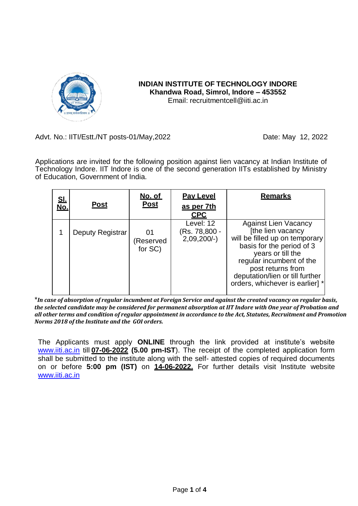

# **INDIAN INSTITUTE OF TECHNOLOGY INDORE Khandwa Road, Simrol, Indore – 453552** Email: [recruitmentcell@iiti.ac.in](mailto:recruitmentcell@iiti.ac.in)

# Advt. No.: IITI/Estt./NT posts-01/May, 2022 Date: May 12, 2022

Applications are invited for the following position against lien vacancy at Indian Institute of Technology Indore. IIT Indore is one of the second generation IITs established by Ministry of Education, Government of India.

| <u>SI.</u><br>No. | <b>Post</b>      | <u>No. of</u><br><b>Post</b> | <b>Pay Level</b><br>as per 7th<br><b>CPC</b> | <b>Remarks</b>                                                                                                                                                                                                                                              |
|-------------------|------------------|------------------------------|----------------------------------------------|-------------------------------------------------------------------------------------------------------------------------------------------------------------------------------------------------------------------------------------------------------------|
|                   | Deputy Registrar | 01<br>(Reserved<br>for SC)   | Level: 12<br>(Rs. 78,800 -<br>$2,09,200/-$   | <b>Against Lien Vacancy</b><br>[the lien vacancy<br>will be filled up on temporary<br>basis for the period of 3<br>years or till the<br>regular incumbent of the<br>post returns from<br>deputation/lien or till further<br>orders, whichever is earlier] * |

\**In case of absorption of regular incumbent at Foreign Service and against the created vacancy on regular basis, the selected candidate may be considered for permanent absorption at IIT Indore with One year of Probation and all other terms and condition of regular appointment in accordance to the Act, Statutes, Recruitment and Promotion Norms 2018 of the Institute and the GOI orders.*

The Applicants must apply **ONLINE** through the link provided at institute's website [www.iiti.ac.in](http://www.iiti.ac.in/) till **07-06-2022 (5.00 pm-IST**). The receipt of the completed application form shall be submitted to the institute along with the self- attested copies of required documents on or before **5:00 pm (IST)** on **14-06-2022.** For further details visit Institute website [www.iiti.ac.in](http://www.iiti.ac.in/)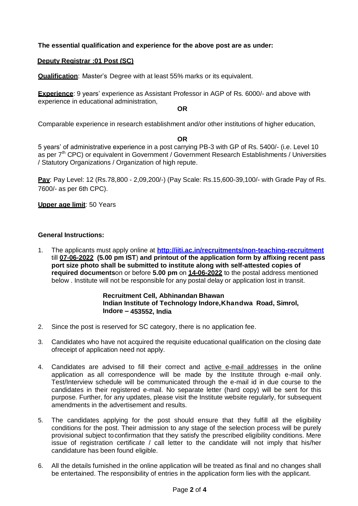## **The essential qualification and experience for the above post are as under:**

## **Deputy Registrar :01 Post (SC)**

**Qualification**: Master's Degree with at least 55% marks or its equivalent.

**Experience**: 9 years' experience as Assistant Professor in AGP of Rs. 6000/- and above with experience in educational administration,

## **OR**

Comparable experience in research establishment and/or other institutions of higher education,

#### **OR**

5 years' of administrative experience in a post carrying PB-3 with GP of Rs. 5400/- (i.e. Level 10 as per 7<sup>th</sup> CPC) or equivalent in Government / Government Research Establishments / Universities / Statutory Organizations / Organization of high repute.

**Pay**: Pay Level: 12 (Rs.78,800 - 2,09,200/-) (Pay Scale: Rs.15,600-39,100/- with Grade Pay of Rs. 7600/- as per 6th CPC).

#### **Upper age limit**: 50 Years

#### **General Instructions:**

1. The applicants must apply online at **<http://iiti.ac.in/recruitments/non-teaching-recruitment>** till **07-06-2022 (5.00 pm IST**) **and printout of the application form by affixing recent pass port size photo shall be submitted to institute along with self-attested copies of required documents**on or before **5.00 pm** on **14-06-2022** to the postal address mentioned below . Institute will not be responsible for any postal delay or application lost in transit.

#### **Recruitment Cell, Abhinandan Bhawan Indian Institute of Technology Indore,Khandwa Road, Simrol, Indore – 453552, India**

- 2. Since the post is reserved for SC category, there is no application fee.
- 3. Candidates who have not acquired the requisite educational qualification on the closing date ofreceipt of application need not apply.
- 4. Candidates are advised to fill their correct and active e-mail addresses in the online application as all correspondence will be made by the Institute through e-mail only. Test/Interview schedule will be communicated through the e-mail id in due course to the candidates in their registered e-mail. No separate letter (hard copy) will be sent for this purpose. Further, for any updates, please visit the Institute website regularly, for subsequent amendments in the advertisement and results.
- 5. The candidates applying for the post should ensure that they fulfill all the eligibility conditions for the post. Their admission to any stage of the selection process will be purely provisional subject toconfirmation that they satisfy the prescribed eligibility conditions. Mere issue of registration certificate / call letter to the candidate will not imply that his/her candidature has been found eligible.
- 6. All the details furnished in the online application will be treated as final and no changes shall be entertained. The responsibility of entries in the application form lies with the applicant.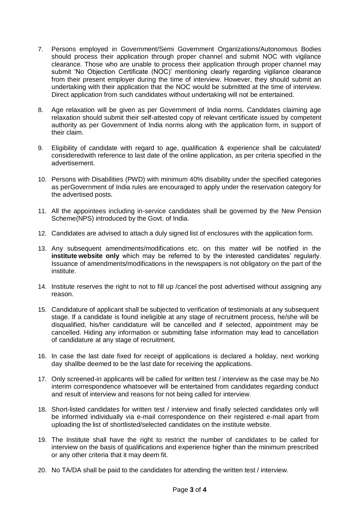- 7. Persons employed in Government/Semi Government Organizations/Autonomous Bodies should process their application through proper channel and submit NOC with vigilance clearance. Those who are unable to process their application through proper channel may submit 'No Objection Certificate (NOC)' mentioning clearly regarding vigilance clearance from their present employer during the time of interview. However, they should submit an undertaking with their application that the NOC would be submitted at the time of interview. Direct application from such candidates without undertaking will not be entertained.
- 8. Age relaxation will be given as per Government of India norms. Candidates claiming age relaxation should submit their self-attested copy of relevant certificate issued by competent authority as per Government of India norms along with the application form, in support of their claim.
- 9. Eligibility of candidate with regard to age, qualification & experience shall be calculated/ consideredwith reference to last date of the online application, as per criteria specified in the advertisement.
- 10. Persons with Disabilities (PWD) with minimum 40% disability under the specified categories as perGovernment of India rules are encouraged to apply under the reservation category for the advertised posts.
- 11. All the appointees including in-service candidates shall be governed by the New Pension Scheme(NPS) introduced by the Govt. of India.
- 12. Candidates are advised to attach a duly signed list of enclosures with the application form.
- 13. Any subsequent amendments/modifications etc. on this matter will be notified in the **institute website only** which may be referred to by the interested candidates' regularly. Issuance of amendments/modifications in the newspapers is not obligatory on the part of the institute.
- 14. Institute reserves the right to not to fill up /cancel the post advertised without assigning any reason.
- 15. Candidature of applicant shall be subjected to verification of testimonials at any subsequent stage. If a candidate is found ineligible at any stage of recruitment process, he/she will be disqualified, his/her candidature will be cancelled and if selected, appointment may be cancelled. Hiding any information or submitting false information may lead to cancellation of candidature at any stage of recruitment.
- 16. In case the last date fixed for receipt of applications is declared a holiday, next working day shallbe deemed to be the last date for receiving the applications.
- 17. Only screened-in applicants will be called for written test / interview as the case may be.No interim correspondence whatsoever will be entertained from candidates regarding conduct and result of interview and reasons for not being called for interview.
- 18. Short-listed candidates for written test / interview and finally selected candidates only will be informed individually via e-mail correspondence on their registered e-mail apart from uploading the list of shortlisted/selected candidates on the institute website.
- 19. The Institute shall have the right to restrict the number of candidates to be called for interview on the basis of qualifications and experience higher than the minimum prescribed or any other criteria that it may deem fit.
- 20. No TA/DA shall be paid to the candidates for attending the written test / interview.